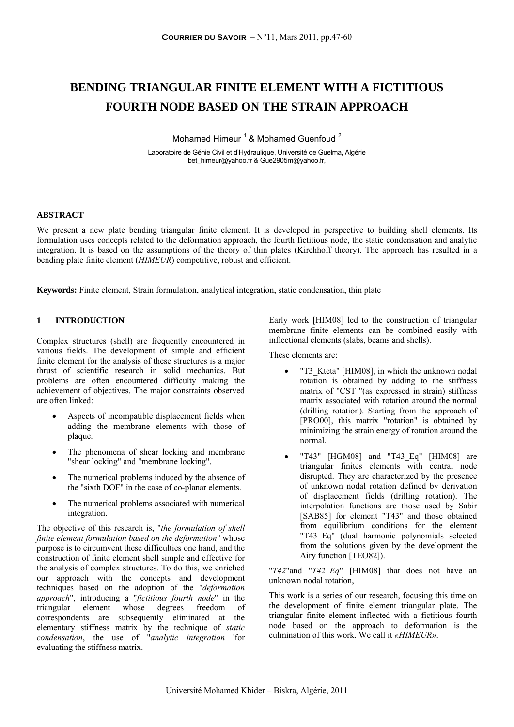# **BENDING TRIANGULAR FINITE ELEMENT WITH A FICTITIOUS FOURTH NODE BASED ON THE STRAIN APPROACH**

Mohamed Himeur<sup>1</sup> & Mohamed Guenfoud<sup>2</sup>

Laboratoire de Génie Civil et d'Hydraulique, Université de Guelma, Algérie bet\_himeur@yahoo.fr & Gue2905m@yahoo.fr,

# **ABSTRACT**

We present a new plate bending triangular finite element. It is developed in perspective to building shell elements. Its formulation uses concepts related to the deformation approach, the fourth fictitious node, the static condensation and analytic integration. It is based on the assumptions of the theory of thin plates (Kirchhoff theory). The approach has resulted in a bending plate finite element (*HIMEUR*) competitive, robust and efficient.

**Keywords:** Finite element, Strain formulation, analytical integration, static condensation, thin plate

# **1 INTRODUCTION**

Complex structures (shell) are frequently encountered in various fields. The development of simple and efficient finite element for the analysis of these structures is a major thrust of scientific research in solid mechanics. But problems are often encountered difficulty making the achievement of objectives. The major constraints observed are often linked:

- Aspects of incompatible displacement fields when adding the membrane elements with those of plaque.
- The phenomena of shear locking and membrane "shear locking" and "membrane locking".
- The numerical problems induced by the absence of the "sixth DOF" in the case of co-planar elements.
- The numerical problems associated with numerical integration.

The objective of this research is, "*the formulation of shell finite element formulation based on the deformation*" whose purpose is to circumvent these difficulties one hand, and the construction of finite element shell simple and effective for the analysis of complex structures. To do this, we enriched our approach with the concepts and development techniques based on the adoption of the "*deformation approach*", introducing a "*fictitious fourth node*" in the triangular element whose degrees freedom of correspondents are subsequently eliminated at the elementary stiffness matrix by the technique of *static condensation*, the use of "*analytic integration* 'for evaluating the stiffness matrix.

Early work [HIM08] led to the construction of triangular membrane finite elements can be combined easily with inflectional elements (slabs, beams and shells).

These elements are:

- "T3\_Kteta" [HIM08], in which the unknown nodal rotation is obtained by adding to the stiffness matrix of "CST "(as expressed in strain) stiffness matrix associated with rotation around the normal (drilling rotation). Starting from the approach of [PRO00], this matrix "rotation" is obtained by minimizing the strain energy of rotation around the normal.
- "T43" [HGM08] and "T43\_Eq" [HIM08] are triangular finites elements with central node disrupted. They are characterized by the presence of unknown nodal rotation defined by derivation of displacement fields (drilling rotation). The interpolation functions are those used by Sabir [SAB85] for element "T43" and those obtained from equilibrium conditions for the element "T43 Eq" (dual harmonic polynomials selected from the solutions given by the development the Airy function [TEO82]).

"*T42*"and "*T42\_Eq*" [HIM08] that does not have an unknown nodal rotation,

This work is a series of our research, focusing this time on the development of finite element triangular plate. The triangular finite element inflected with a fictitious fourth node based on the approach to deformation is the culmination of this work. We call it *«HIMEUR»*.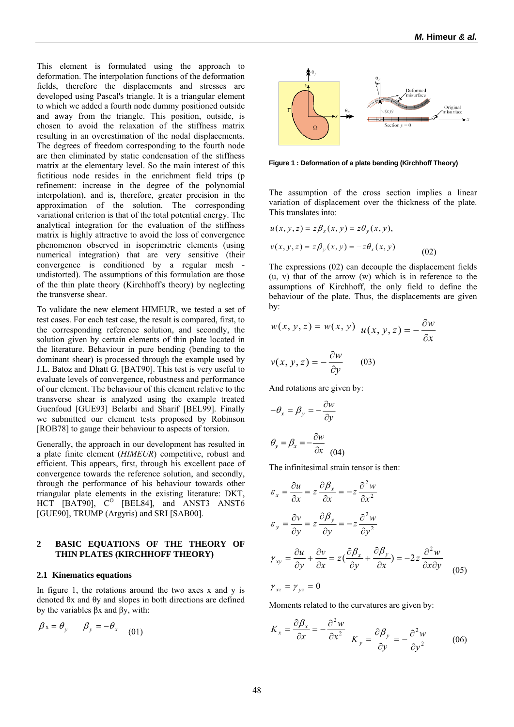This element is formulated using the approach to deformation. The interpolation functions of the deformation fields, therefore the displacements and stresses are developed using Pascal's triangle. It is a triangular element to which we added a fourth node dummy positioned outside and away from the triangle. This position, outside, is chosen to avoid the relaxation of the stiffness matrix resulting in an overestimation of the nodal displacements. The degrees of freedom corresponding to the fourth node are then eliminated by static condensation of the stiffness matrix at the elementary level. So the main interest of this fictitious node resides in the enrichment field trips (p refinement: increase in the degree of the polynomial interpolation), and is, therefore, greater precision in the approximation of the solution. The corresponding variational criterion is that of the total potential energy. The analytical integration for the evaluation of the stiffness matrix is highly attractive to avoid the loss of convergence phenomenon observed in isoperimetric elements (using numerical integration) that are very sensitive (their convergence is conditioned by a regular mesh undistorted). The assumptions of this formulation are those of the thin plate theory (Kirchhoff's theory) by neglecting the transverse shear.

To validate the new element HIMEUR, we tested a set of test cases. For each test case, the result is compared, first, to the corresponding reference solution, and secondly, the solution given by certain elements of thin plate located in the literature. Behaviour in pure bending (bending to the dominant shear) is processed through the example used by J.L. Batoz and Dhatt G. [BAT90]. This test is very useful to evaluate levels of convergence, robustness and performance of our element. The behaviour of this element relative to the transverse shear is analyzed using the example treated Guenfoud [GUE93] Belarbi and Sharif [BEL99]. Finally we submitted our element tests proposed by Robinson [ROB78] to gauge their behaviour to aspects of torsion.

Generally, the approach in our development has resulted in a plate finite element (*HIMEUR*) competitive, robust and efficient. This appears, first, through his excellent pace of convergence towards the reference solution, and secondly, through the performance of his behaviour towards other triangular plate elements in the existing literature: DKT, HCT [BAT90],  $C^0$  [BEL84], and ANST3 ANST6 [GUE90], TRUMP (Argyris) and SRI [SAB00].

# **2 BASIC EQUATIONS OF THE THEORY OF THIN PLATES (KIRCHHOFF THEORY)**

#### **2.1 Kinematics equations**

In figure 1, the rotations around the two axes x and y is denoted θx and θy and slopes in both directions are defined by the variables βx and βy, with:

$$
\beta_x = \theta_y \qquad \beta_y = -\theta_x \qquad (01)
$$



**Figure 1 : Deformation of a plate bending (Kirchhoff Theory)** 

The assumption of the cross section implies a linear variation of displacement over the thickness of the plate. This translates into:

$$
u(x, y, z) = z\beta_x(x, y) = z\theta_y(x, y),
$$

$$
v(x, y, z) = z\beta_y(x, y) = -z\theta_x(x, y)
$$
 (02)

The expressions (02) can decouple the displacement fields  $(u, v)$  that of the arrow  $(w)$  which is in reference to the assumptions of Kirchhoff, the only field to define the behaviour of the plate. Thus, the displacements are given by:

$$
w(x, y, z) = w(x, y) \quad u(x, y, z) = -\frac{\partial w}{\partial x}
$$

$$
v(x, y, z) = -\frac{\partial w}{\partial y} \qquad (03)
$$

And rotations are given by:

$$
-\theta_x = \beta_y = -\frac{\partial w}{\partial y}
$$

$$
\theta_y = \beta_x = -\frac{\partial w}{\partial x}
$$
(04)

The infinitesimal strain tensor is then:

$$
\varepsilon_{x} = \frac{\partial u}{\partial x} = z \frac{\partial \beta_{x}}{\partial x} = -z \frac{\partial^{2} w}{\partial x^{2}}
$$
  
\n
$$
\varepsilon_{y} = \frac{\partial v}{\partial y} = z \frac{\partial \beta_{y}}{\partial y} = -z \frac{\partial^{2} w}{\partial y^{2}}
$$
  
\n
$$
\gamma_{xy} = \frac{\partial u}{\partial y} + \frac{\partial v}{\partial x} = z(\frac{\partial \beta_{x}}{\partial y} + \frac{\partial \beta_{y}}{\partial x}) = -2z \frac{\partial^{2} w}{\partial x \partial y}
$$
  
\n
$$
\gamma_{xz} = \gamma_{yz} = 0
$$
 (05)

Moments related to the curvatures are given by:

$$
K_x = \frac{\partial \beta_x}{\partial x} = -\frac{\partial^2 w}{\partial x^2} \quad K_y = \frac{\partial \beta_y}{\partial y} = -\frac{\partial^2 w}{\partial y^2} \quad (06)
$$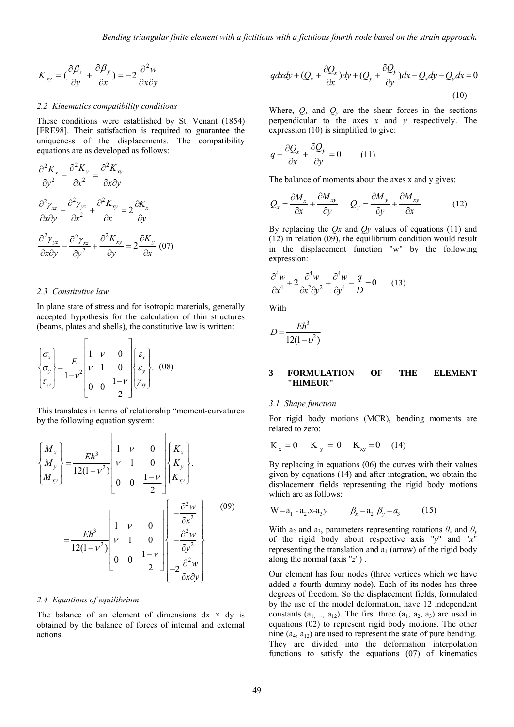$$
K_{xy} = \left(\frac{\partial \beta_x}{\partial y} + \frac{\partial \beta_y}{\partial x}\right) = -2\frac{\partial^2 w}{\partial x \partial y}
$$

#### *2.2 Kinematics compatibility conditions*

These conditions were established by St. Venant (1854) [FRE98]. Their satisfaction is required to guarantee the uniqueness of the displacements. The compatibility equations are as developed as follows:

$$
\frac{\partial^2 K_x}{\partial y^2} + \frac{\partial^2 K_y}{\partial x^2} = \frac{\partial^2 K_{xy}}{\partial x \partial y}
$$

$$
\frac{\partial^2 \gamma_{xz}}{\partial x \partial y} - \frac{\partial^2 \gamma_{yz}}{\partial x^2} + \frac{\partial^2 K_{xy}}{\partial x} = 2 \frac{\partial K_x}{\partial y}
$$

$$
\frac{\partial^2 \gamma_{yz}}{\partial x \partial y} - \frac{\partial^2 \gamma_{xz}}{\partial y^2} + \frac{\partial^2 K_{xy}}{\partial y} = 2 \frac{\partial K_y}{\partial x} (07)
$$

#### *2.3 Constitutive law*

In plane state of stress and for isotropic materials, generally accepted hypothesis for the calculation of thin structures (beams, plates and shells), the constitutive law is written:

$$
\begin{Bmatrix} \sigma_x \\ \sigma_y \\ \tau_{xy} \end{Bmatrix} = \frac{E}{1 - v^2} \begin{bmatrix} 1 & v & 0 \\ v & 1 & 0 \\ 0 & 0 & \frac{1 - v}{2} \end{bmatrix} \begin{Bmatrix} \varepsilon_x \\ \varepsilon_y \\ \gamma_{xy} \end{Bmatrix} . \quad (08)
$$

This translates in terms of relationship "moment-curvature» by the following equation system:

$$
\begin{aligned}\n\begin{bmatrix}\nM_x \\
M_y \\
M_{xy}\n\end{bmatrix} &= \frac{Eh^3}{12(1 - v^2)} \begin{bmatrix}\n1 & v & 0 \\
v & 1 & 0 \\
0 & 0 & \frac{1 - v}{2}\n\end{bmatrix} \begin{bmatrix}\nK_x \\
K_y \\
K_{xy}\n\end{bmatrix}.\n\end{aligned}
$$
\n
$$
= \frac{Eh^3}{12(1 - v^2)} \begin{bmatrix}\n1 & v & 0 \\
v & 1 & 0 \\
0 & 0 & \frac{1 - v}{2}\n\end{bmatrix} \begin{bmatrix}\n-\frac{\partial^2 w}{\partial x^2} \\
-\frac{\partial^2 w}{\partial y^2} \\
-\frac{\partial^2 w}{\partial x \partial y}\n\end{bmatrix}
$$
\n(09)

#### *2.4 Equations of equilibrium*

The balance of an element of dimensions  $dx \times dy$  is obtained by the balance of forces of internal and external actions.

$$
q dx dy + (Q_x + \frac{\partial Q_x}{\partial x}) dy + (Q_y + \frac{\partial Q_y}{\partial y}) dx - Q_x dy - Q_y dx = 0
$$
\n(10)

Where,  $Q_x$  and  $Q_y$  are the shear forces in the sections perpendicular to the axes  $x$  and  $y$  respectively. The expression (10) is simplified to give:

$$
q + \frac{\partial Q_x}{\partial x} + \frac{\partial Q_y}{\partial y} = 0 \qquad (11)
$$

The balance of moments about the axes x and y gives:

$$
Q_x = \frac{\partial M_x}{\partial x} + \frac{\partial M_{xy}}{\partial y} \qquad Q_y = \frac{\partial M_y}{\partial y} + \frac{\partial M_{xy}}{\partial x} \tag{12}
$$

By replacing the *Qx* and *Qy* values of equations (11) and (12) in relation (09), the equilibrium condition would result in the displacement function "w" by the following expression:

$$
\frac{\partial^4 w}{\partial x^4} + 2 \frac{\partial^4 w}{\partial x^2 \partial y^2} + \frac{\partial^4 w}{\partial y^4} - \frac{q}{D} = 0 \qquad (13)
$$

With

$$
D = \frac{Eh^3}{12(1 - v^2)}
$$

# **3 FORMULATION OF THE ELEMENT "HIMEUR"**

#### *3.1 Shape function*

For rigid body motions (MCR), bending moments are related to zero:

$$
K_x = 0 \t K_y = 0 \t K_{xy} = 0 \t (14)
$$

By replacing in equations (06) the curves with their values given by equations (14) and after integration, we obtain the displacement fields representing the rigid body motions which are as follows:

$$
W = a_1 - a_2 . x - a_3 y \qquad \beta_x = a_2 \ \beta_y = a_3 \qquad (15)
$$

With  $a_2$  and  $a_3$ , parameters representing rotations  $\theta_x$  and  $\theta_y$ of the rigid body about respective axis "*y*" and "*x*" representing the translation and  $a_1$  (arrow) of the rigid body along the normal (axis "*z*") .

Our element has four nodes (three vertices which we have added a fourth dummy node). Each of its nodes has three degrees of freedom. So the displacement fields, formulated by the use of the model deformation, have 12 independent constants  $(a_1, a_{12})$ . The first three  $(a_1, a_2, a_3)$  are used in equations (02) to represent rigid body motions. The other nine  $(a_4, a_{12})$  are used to represent the state of pure bending. They are divided into the deformation interpolation functions to satisfy the equations (07) of kinematics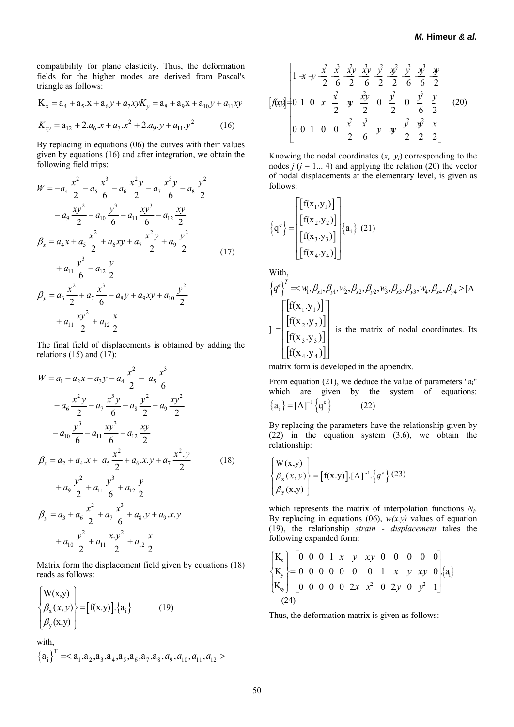compatibility for plane elasticity. Thus, the deformation fields for the higher modes are derived from Pascal's triangle as follows:

$$
K_x = a_4 + a_5 \cdot x + a_6 y + a_7 x y K_y = a_8 + a_9 x + a_{10} y + a_{11} x y
$$
  

$$
K_{xy} = a_{12} + 2 \cdot a_6 \cdot x + a_7 \cdot x^2 + 2 \cdot a_9 \cdot y + a_{11} \cdot y^2
$$
 (16)

By replacing in equations (06) the curves with their values given by equations (16) and after integration, we obtain the following field trips:

$$
W = -a_4 \frac{x^2}{2} - a_5 \frac{x^3}{6} - a_6 \frac{x^2y}{2} - a_7 \frac{x^3y}{6} - a_8 \frac{y^2}{2}
$$
  
\n
$$
-a_9 \frac{xy^2}{2} - a_{10} \frac{y^3}{6} - a_{11} \frac{xy^3}{6} - a_{12} \frac{xy}{2}
$$
  
\n
$$
\beta_x = a_4x + a_5 \frac{x^2}{2} + a_6xy + a_7 \frac{x^2y}{2} + a_9 \frac{y^2}{2}
$$
  
\n
$$
+a_{11} \frac{y^3}{6} + a_{12} \frac{y}{2}
$$
  
\n
$$
\beta_y = a_6 \frac{x^2}{2} + a_7 \frac{x^3}{6} + a_8y + a_9xy + a_{10} \frac{y^2}{2}
$$
  
\n
$$
+a_{11} \frac{xy^2}{2} + a_{12} \frac{x}{2}
$$
  
\n(17)

The final field of displacements is obtained by adding the relations  $(15)$  and  $(17)$ :

$$
W = a_1 - a_2x - a_3y - a_4\frac{x^2}{2} - a_5\frac{x^3}{6}
$$
  
\n
$$
-a_6\frac{x^2y}{2} - a_7\frac{x^3y}{6} - a_8\frac{y^2}{2} - a_9\frac{xy^2}{2}
$$
  
\n
$$
-a_{10}\frac{y^3}{6} - a_{11}\frac{xy^3}{6} - a_{12}\frac{xy}{2}
$$
  
\n
$$
\beta_x = a_2 + a_4x + a_5\frac{x^2}{2} + a_6x.y + a_7\frac{x^2.y}{2}
$$
  
\n
$$
+a_9\frac{y^2}{2} + a_{11}\frac{y^3}{6} + a_{12}\frac{y}{2}
$$
  
\n
$$
\beta_y = a_3 + a_6\frac{x^2}{2} + a_7\frac{x^3}{6} + a_8.y + a_9x.y
$$
  
\n
$$
+a_{10}\frac{y^2}{2} + a_{11}\frac{x.y^2}{2} + a_{12}\frac{x}{2}
$$

Matrix form the displacement field given by equations (18) reads as follows:

$$
\begin{Bmatrix} W(x,y) \\ \beta_x(x,y) \\ \beta_y(x,y) \end{Bmatrix} = [f(x.y)].\{a_i\} \qquad (19)
$$

with,

$$
{a_i}^T =
$$

$$
\begin{bmatrix} 1 \llbracket x \rrbracket y & \frac{x^2}{2} & \frac{x^3}{6} & \frac{x^3y}{2} & \frac{x^3y}{6} & \frac{y^3}{2} & \frac{y^3}{6} & \frac{y^3}{2} & \frac{y^3}{2} \\ 0 & 1 & 0 & x & \frac{x^2}{2} & \frac{x^3y}{2} & 0 & \frac{y^2}{2} & 0 & \frac{y^3}{6} & \frac{y}{2} \\ 0 & 0 & 1 & 0 & 0 & \frac{x^2}{2} & \frac{x^3}{6} & y & \frac{y^2}{2} & \frac{y^2}{2} & \frac{x^3}{2} & \frac{x}{2} \end{bmatrix} \tag{20}
$$

Knowing the nodal coordinates  $(x_i, y_i)$  corresponding to the nodes  $j$  ( $j = 1... 4$ ) and applying the relation (20) the vector of nodal displacements at the elementary level, is given as follows:

$$
\left\{q^{e}\right\} = \begin{bmatrix} \left[f(x_1,y_1)\right] \\ \left[f(x_2,y_2)\right] \\ \left[f(x_3,y_3)\right] \\ \left[f(x_4,y_4)\right] \end{bmatrix} \left\{a_i\right\} (21)
$$

With

$$
\{q^{e}\}^{T} = \mathbf{w}_{1}, \beta_{x1}, \beta_{y1}, \mathbf{w}_{2}, \beta_{x2}, \beta_{y2}, \mathbf{w}_{3}, \beta_{x3}, \beta_{y3}, \mathbf{w}_{4}, \beta_{x4}, \beta_{y4} > [A
$$
\n
$$
] = \begin{bmatrix} [f(x_{1} \cdot y_{1})] \\ [f(x_{2} \cdot y_{2})] \\ [f(x_{3} \cdot y_{3})] \\ [f(x_{4} \cdot y_{4})] \end{bmatrix} \text{ is the matrix of nodal coordinates. Its}
$$

matrix form is developed in the appendix.

From equation (21), we deduce the value of parameters "a<sub>i</sub>" which are given by the system of equations:  ${a_i} = [A]^{-1} {q^e}$  (22)

By replacing the parameters have the relationship given by (22) in the equation system (3.6), we obtain the relationship:

$$
\begin{Bmatrix} W(x,y) \\ \beta_x(x,y) \\ \beta_y(x,y) \end{Bmatrix} = [f(x,y)].[A]^{-1}.{q^e} (23)
$$

which represents the matrix of interpolation functions *Ni*. By replacing in equations (06),  $w(x, y)$  values of equation (19), the relationship *strain - displacement* takes the following expanded form:

$$
\begin{cases}\nK_x \\
K_y \\
K_y\n\end{cases} =\n\begin{bmatrix}\n0 & 0 & 0 & 1 & x & y & xy & 0 & 0 & 0 & 0 & 0 \\
0 & 0 & 0 & 0 & 0 & 0 & 1 & x & y & xy & 0 \\
0 & 0 & 0 & 0 & 0 & 2x & x^2 & 0 & 2y & 0 & y^2 & 1\n\end{bmatrix}\n\begin{bmatrix}\na_1 \\
a_2 \\
a_3\n\end{bmatrix}
$$

Thus, the deformation matrix is given as follows: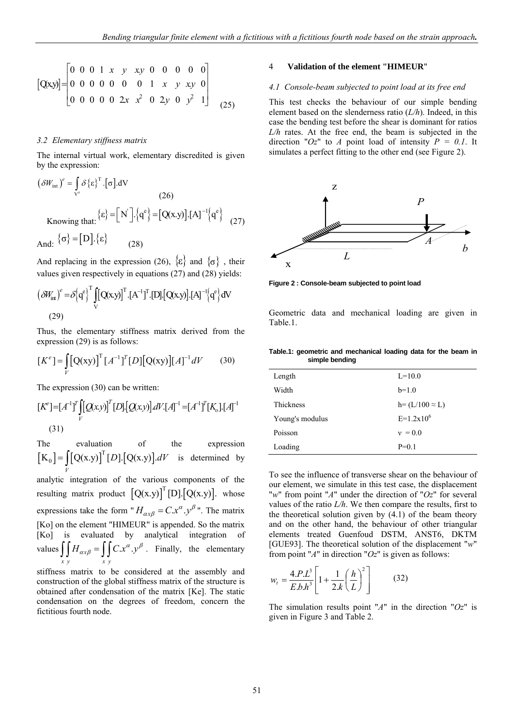$$
[Q(x,y)] = \begin{bmatrix} 0 & 0 & 0 & 1 & x & y & xy & 0 & 0 & 0 & 0 & 0 \\ 0 & 0 & 0 & 0 & 0 & 0 & 1 & x & y & xy & 0 \\ 0 & 0 & 0 & 0 & 0 & 2x & x^2 & 0 & 2y & 0 & y^2 & 1 \end{bmatrix}
$$
 (25)

## *3.2 Elementary stiffness matrix*

The internal virtual work, elementary discredited is given by the expression:

$$
(\delta W_{int})^{e} = \int_{V^{e}} \delta \{\epsilon\}^{T} \cdot [\sigma] dV
$$
\n
$$
(26)
$$
\nKnowing that:  $\{\epsilon\} = [N'] \cdot \{q^{e}\} = [Q(x,y)] \cdot [A]^{-1} \{q^{e}\}$ \n
$$
(27)
$$
\nAnd:  $\{\sigma\} = [D] \cdot \{\epsilon\}$ \n
$$
(28)
$$

And replacing in the expression (26),  $\{\varepsilon\}$  and  $\{\sigma\}$ , their values given respectively in equations (27) and (28) yields:

$$
\left(\delta W_{int}\right)^{e} = \delta \left[q^{e}\right]^{T} \iint_{V} \left[Q(x,y)\right]^{T} \cdot \left[A^{-1}\right]^{T} \cdot \left[D\right] \cdot \left[Q(x,y)\right] \cdot \left[A\right]^{-1} \left\{q^{e}\right\} dV
$$
\n(29)

Thus, the elementary stiffness matrix derived from the expression (29) is as follows:

$$
[K^{e}] = \int_{V} [Q(xy)]^{T} [A^{-1}]^{T} [D] [Q(xy)] [A]^{-1} dV \qquad (30)
$$

The expression (30) can be written:

$$
[K^{e}] = [A^{-1}]^{T} \iint_{V} [Q(x,y)]^{T} [D] \cdot [Q(x,y)] dV \cdot [A]^{-1} = [A^{-1}]^{T} [K_{o}] \cdot [A]^{-1}
$$
\n(31)

The evaluation of the expression  $[K_0] = \left[ [Q(x,y)]^T [D] . [Q(x,y)] \right].$  $=\iint_V [Q(x,y)]^T [D] [Q(x,y)]dV$  is determined by analytic integration of the various components of the resulting matrix product  $[Q(x,y)]^T[D]{Q(x,y)}$ . whose expressions take the form " $H_{\alpha x \beta} = C x^{\alpha} y^{\beta}$ ". The matrix [Ko] on the element "HIMEUR" is appended. So the matrix [Ko] is evaluated by analytical integration of values  $\iint H_{\alpha x \beta} = \iint C x^{\alpha} y^{\beta}$ . Finally, the elementary *xy xy*

stiffness matrix to be considered at the assembly and construction of the global stiffness matrix of the structure is obtained after condensation of the matrix [Ke]. The static condensation on the degrees of freedom, concern the fictitious fourth node.

## 4 **Validation of the element "HIMEUR**"

#### *4.1 Console-beam subjected to point load at its free end*

This test checks the behaviour of our simple bending element based on the slenderness ratio (*L/h*). Indeed, in this case the bending test before the shear is dominant for ratios *L/h* rates. At the free end, the beam is subjected in the direction " $Oz$ " to *A* point load of intensity  $P = 0.1$ . It simulates a perfect fitting to the other end (see Figure 2).



**Figure 2 : Console-beam subjected to point load** 

Geometric data and mechanical loading are given in Table.1.

|                | Table.1: geometric and mechanical loading data for the beam in |  |  |  |
|----------------|----------------------------------------------------------------|--|--|--|
| simple bending |                                                                |  |  |  |

| Length           | $L=10.0$                |
|------------------|-------------------------|
| Width            | $b=1.0$                 |
| <b>Thickness</b> | $h = (L/100 \approx L)$ |
| Young's modulus  | $E=1.2x10^6$            |
| Poisson          | $v = 0.0$               |
| Loading          | $P=0.1$                 |

To see the influence of transverse shear on the behaviour of our element, we simulate in this test case, the displacement "*w*" from point "*A*" under the direction of "*Oz*" for several values of the ratio *L/h*. We then compare the results, first to the theoretical solution given by  $(4.1)$  of the beam theory and on the other hand, the behaviour of other triangular elements treated Guenfoud DSTM, ANST6, DKTM [GUE93]. The theoretical solution of the displacement "*w*" from point "*A*" in direction "*Oz*" is given as follows:

$$
w_{t} = \frac{4.P.L^{3}}{E.b.h^{3}} \left[ 1 + \frac{1}{2.k} \left( \frac{h}{L} \right)^{2} \right]
$$
 (32)

The simulation results point "*A*" in the direction "*Oz*" is given in Figure 3 and Table 2.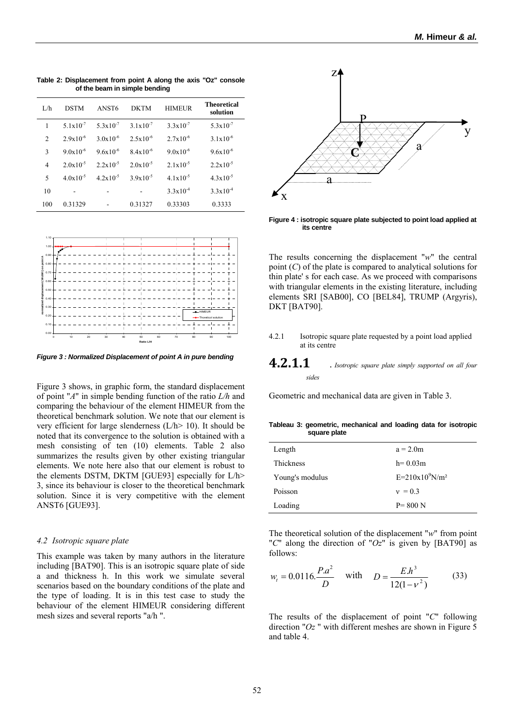L/h DSTM ANST6 DKTM HIMEUR **Theoretical solution** 1  $5.1x10^{-7}$   $5.3x10^{-7}$   $3.1x10^{-7}$   $3.3x10^{-7}$   $5.3x10^{-7}$ 2  $2.9x10^{-6}$   $3.0x10^{-6}$   $2.5x10^{-6}$   $2.7x10^{-6}$   $3.1x10^{-6}$ 3  $9.0x10^{-6}$   $9.6x10^{-6}$   $8.4x10^{-6}$   $9.0x10^{-6}$   $9.6x10^{-6}$ 4 2.0x10<sup>-5</sup> 2.2x10<sup>-5</sup> 2.0x10<sup>-5</sup> 2.1x10<sup>-5</sup> 2.2x10<sup>-5</sup> 5  $4.0x10^{-5}$   $4.2x10^{-5}$   $3.9x10^{-5}$   $4.1x10^{-5}$   $4.3x10^{-5}$ 10 - -  $3.3x10^{-4}$   $3.3x10^{-4}$ 100 0.31329 - 0.31327 0.33303 0.3333

**Table 2: Displacement from point A along the axis "Oz" console of the beam in simple bending** 



*Figure 3 : Normalized Displacement of point A in pure bending* 

Figure 3 shows, in graphic form, the standard displacement of point "*A*" in simple bending function of the ratio *L/h* and comparing the behaviour of the element HIMEUR from the theoretical benchmark solution. We note that our element is very efficient for large slenderness  $(L/h > 10)$ . It should be noted that its convergence to the solution is obtained with a mesh consisting of ten (10) elements. Table 2 also summarizes the results given by other existing triangular elements. We note here also that our element is robust to the elements DSTM, DKTM [GUE93] especially for L/h> 3, since its behaviour is closer to the theoretical benchmark solution. Since it is very competitive with the element ANST6 [GUE93].

#### *4.2 Isotropic square plate*

This example was taken by many authors in the literature including [BAT90]. This is an isotropic square plate of side a and thickness h. In this work we simulate several scenarios based on the boundary conditions of the plate and the type of loading. It is in this test case to study the behaviour of the element HIMEUR considering different mesh sizes and several reports "a/h ".



**Figure 4 : isotropic square plate subjected to point load applied at its centre** 

The results concerning the displacement "*w*" the central point (*C*) of the plate is compared to analytical solutions for thin plate' s for each case. As we proceed with comparisons with triangular elements in the existing literature, including elements SRI [SAB00], CO [BEL84], TRUMP (Argyris), DKT [BAT90].

- 4.2.1 Isotropic square plate requested by a point load applied at its centre
- **4.2.1.1** *. Isotropic square plate simply supported on all four sides*

Geometric and mechanical data are given in Table 3.

**Tableau 3: geometric, mechanical and loading data for isotropic square plate** 

| Length          | $a = 2.0m$         |
|-----------------|--------------------|
| Thickness       | $h = 0.03m$        |
| Young's modulus | $E=210x10^9 N/m^2$ |
| Poisson         | $v = 0.3$          |
| Loading         | $P = 800 N$        |

The theoretical solution of the displacement "*w*" from point "*C*" along the direction of "*Oz*" is given by [BAT90] as follows:

$$
w_t = 0.0116.\frac{P.a^2}{D}
$$
 with  $D = \frac{E.h^3}{12(1 - v^2)}$  (33)

The results of the displacement of point "*C*" following direction "*Oz* " with different meshes are shown in Figure 5 and table 4.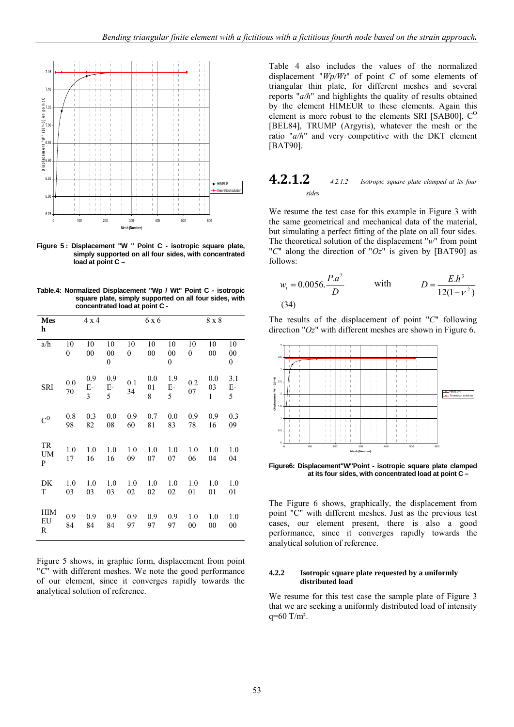

**Figure 5 : Displacement "W " Point C - isotropic square plate, simply supported on all four sides, with concentrated load at point C –** 

**Table.4: Normalized Displacement "Wp / Wt" Point C - isotropic square plate, simply supported on all four sides, with concentrated load at point C** -

| <b>Mes</b><br>h      |                        | $4 \times 4$                  |                     |                        | 6 x 6          |                                  |                        | $8 \ge 8$                 |                                  |
|----------------------|------------------------|-------------------------------|---------------------|------------------------|----------------|----------------------------------|------------------------|---------------------------|----------------------------------|
| a/h                  | 10<br>$\boldsymbol{0}$ | 10<br>00                      | 10<br>$\rm 00$<br>0 | 10<br>$\boldsymbol{0}$ | 10<br>00       | 10<br>$00\,$<br>$\boldsymbol{0}$ | 10<br>$\boldsymbol{0}$ | 10<br>00                  | 10<br>$00\,$<br>$\boldsymbol{0}$ |
| <b>SRI</b>           | 0.0<br>70              | 0.9<br>$E-$<br>$\overline{3}$ | 0.9<br>$E-$<br>5    | 0.1<br>34              | 0.0<br>01<br>8 | 1.9<br>$E-$<br>5                 | 0.2<br>07              | 0.0<br>03<br>$\mathbf{1}$ | 3.1<br>Е-<br>5                   |
| $C^O$                | 0.8<br>98              | 0.3<br>82                     | 0.0<br>08           | 0.9<br>60              | 0.7<br>81      | 0.0<br>83                        | 0.9<br>78              | 0.9<br>16                 | 0.3<br>09                        |
| TR<br><b>UM</b><br>P | 1.0<br>17              | 1.0<br>16                     | 1.0<br>16           | 1.0<br>09              | 1.0<br>07      | 1.0<br>07                        | 1.0<br>06              | 1.0<br>04                 | 1.0<br>04                        |
| DK<br>T              | 1.0<br>03              | 1.0<br>03                     | 1.0<br>03           | 1.0<br>02              | 1.0<br>02      | 1.0<br>02                        | 1.0<br>01              | 1.0<br>01                 | 1.0<br>01                        |
| HIM<br>EU<br>R       | 0.9<br>84              | 0.9<br>84                     | 0.9<br>84           | 0.9<br>97              | 0.9<br>97      | 0.9<br>97                        | 1.0<br>$_{00}$         | 1.0<br>00                 | 1.0<br>00                        |

Figure 5 shows, in graphic form, displacement from point "*C*" with different meshes. We note the good performance of our element, since it converges rapidly towards the analytical solution of reference.

Table 4 also includes the values of the normalized displacement "*Wp/Wt*" of point *C* of some elements of triangular thin plate, for different meshes and several reports "*a/h*" and highlights the quality of results obtained by the element HIMEUR to these elements. Again this element is more robust to the elements SRI [SAB00],  $C^{O}$ [BEL84], TRUMP (Argyris), whatever the mesh or the ratio "*a/h*" and very competitive with the DKT element [BAT90].

# **4.2.1.2** *4.2.1.2 Isotropic square plate clamped at its four sides*

We resume the test case for this example in Figure 3 with the same geometrical and mechanical data of the material, but simulating a perfect fitting of the plate on all four sides. The theoretical solution of the displacement "*w*" from point "*C*" along the direction of "*Oz*" is given by [BAT90] as follows:

$$
w_t = 0.0056 \cdot \frac{P.a^2}{D}
$$
 with  $D = \frac{E.h^3}{12(1 - v^2)}$  (34)

The results of the displacement of point "*C*" following direction "*Oz*" with different meshes are shown in Figure 6.



**Figure6: Displacement"W"Point - isotropic square plate clamped at its four sides, with concentrated load at point C –** 

The Figure 6 shows, graphically, the displacement from point "C" with different meshes. Just as the previous test cases, our element present, there is also a good performance, since it converges rapidly towards the analytical solution of reference.

## **4.2.2 Isotropic square plate requested by a uniformly distributed load**

We resume for this test case the sample plate of Figure 3 that we are seeking a uniformly distributed load of intensity  $q=60$  T/m<sup>2</sup>.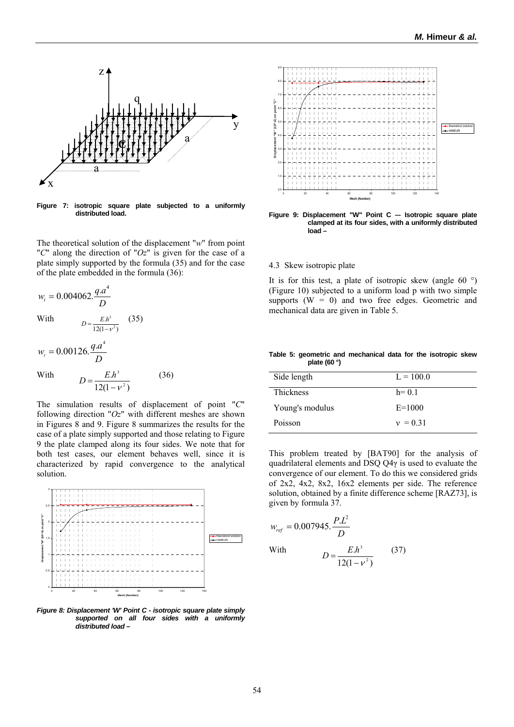

**Figure 7: isotropic square plate subjected to a uniformly distributed load.** 

The theoretical solution of the displacement "*w*" from point "*C*" along the direction of "*Oz*" is given for the case of a plate simply supported by the formula (35) and for the case of the plate embedded in the formula (36):

$$
w_t = 0.004062 \cdot \frac{q \cdot a^4}{D}
$$
  
With 
$$
D = \frac{E h^3}{12(1 - v^2)}
$$
 (35)

$$
w_t = 0.00126.\frac{q.a^4}{D}
$$

With 
$$
D = \frac{E.h^3}{12(1 - v^2)}
$$
 (36)

The simulation results of displacement of point "*C*" following direction "*Oz*" with different meshes are shown in Figures 8 and 9. Figure 8 summarizes the results for the case of a plate simply supported and those relating to Figure 9 the plate clamped along its four sides. We note that for both test cases, our element behaves well, since it is characterized by rapid convergence to the analytical solution.



*Figure 8: Displacement 'W' Point C - isotropic square plate simply supported on all four sides with a uniformly distributed load –* 



Figure 9: Displacement "W" Point C -- Isotropic square plate **clamped at its four sides, with a uniformly distributed load –** 

## 4.3 Skew isotropic plate

It is for this test, a plate of isotropic skew (angle 60 $\degree$ ) (Figure 10) subjected to a uniform load p with two simple supports  $(W = 0)$  and two free edges. Geometric and mechanical data are given in Table 5.

#### **Table 5: geometric and mechanical data for the isotropic skew plate (60 °)**

| Side length      | $L = 100.0$ |
|------------------|-------------|
| <b>Thickness</b> | $h = 0.1$   |
| Young's modulus  | $E = 1000$  |
| Poisson          | $v = 0.31$  |

This problem treated by [BAT90] for the analysis of quadrilateral elements and DSQ Q4γ is used to evaluate the convergence of our element. To do this we considered grids of 2x2, 4x2, 8x2, 16x2 elements per side. The reference solution, obtained by a finite difference scheme [RAZ73], is given by formula 37.

$$
w_{ref} = 0.007945. \frac{P.L^2}{D}
$$
  
With 
$$
D = \frac{E.h^3}{12(1 - v^2)}
$$
 (37)

 $12(1 - v^2)$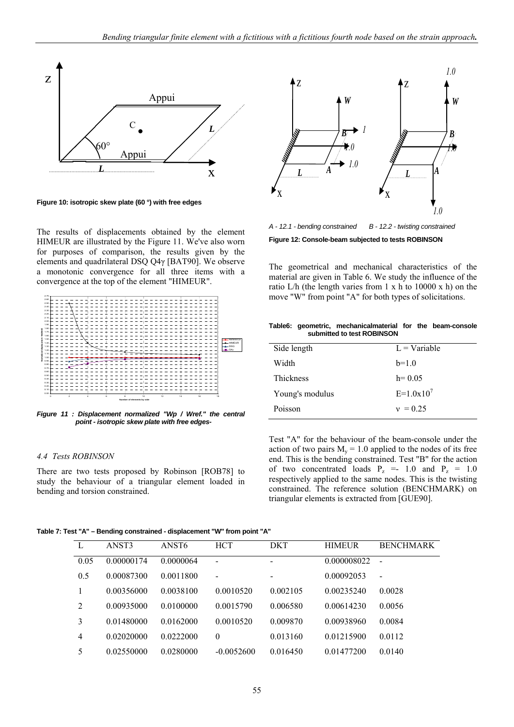

**Figure 10: isotropic skew plate (60 °) with free edges** 

The results of displacements obtained by the element HIMEUR are illustrated by the Figure 11. We've also worn for purposes of comparison, the results given by the elements and quadrilateral DSQ Q4γ [BAT90]. We observe a monotonic convergence for all three items with a convergence at the top of the element "HIMEUR".



*Figure 11 : Displacement normalized "Wp / Wref." the central point - isotropic skew plate with free edges-*

#### *4.4 Tests ROBINSON*

There are two tests proposed by Robinson [ROB78] to study the behaviour of a triangular element loaded in bending and torsion constrained.



*A - 12.1 - bending constrained B - 12.2 - twisting constrained*

**Figure 12: Console-beam subjected to tests ROBINSON** 

The geometrical and mechanical characteristics of the material are given in Table 6. We study the influence of the ratio L/h (the length varies from  $1 \times h$  to  $10000 \times h$ ) on the move "W" from point "A" for both types of solicitations.

|  | Table6: geometric, mechanicalmaterial for the beam-console |  |  |
|--|------------------------------------------------------------|--|--|
|  | submitted to test ROBINSON                                 |  |  |

| Side length      | $L = \text{Variable}$ |
|------------------|-----------------------|
| Width            | $b=1.0$               |
| <b>Thickness</b> | $h = 0.05$            |
| Young's modulus  | $E=1.0x10^7$          |
| Poisson          | $v = 0.25$            |
|                  |                       |

Test "A" for the behaviour of the beam-console under the action of two pairs  $M_v = 1.0$  applied to the nodes of its free end. This is the bending constrained. Test "B" for the action of two concentrated loads  $P_z = 1.0$  and  $P_z = 1.0$ respectively applied to the same nodes. This is the twisting constrained. The reference solution (BENCHMARK) on triangular elements is extracted from [GUE90].

**Table 7: Test "A" – Bending constrained - displacement "W" from point "A"** 

| L    | ANST3      | ANST <sub>6</sub> | <b>HCT</b>   | <b>DKT</b>               | <b>HIMEUR</b> | <b>BENCHMARK</b> |
|------|------------|-------------------|--------------|--------------------------|---------------|------------------|
| 0.05 | 0.00000174 | 0.0000064         | -            | -                        | 0.000008022   | $\blacksquare$   |
| 0.5  | 0.00087300 | 0.0011800         | -            | $\overline{\phantom{a}}$ | 0.00092053    | $\blacksquare$   |
|      | 0.00356000 | 0.0038100         | 0.0010520    | 0.002105                 | 0.00235240    | 0.0028           |
| 2    | 0.00935000 | 0.0100000         | 0.0015790    | 0.006580                 | 0.00614230    | 0.0056           |
| 3    | 0.01480000 | 0.0162000         | 0.0010520    | 0.009870                 | 0.00938960    | 0.0084           |
| 4    | 0.02020000 | 0.0222000         | $\theta$     | 0.013160                 | 0.01215900    | 0.0112           |
| 5    | 0.02550000 | 0.0280000         | $-0.0052600$ | 0.016450                 | 0.01477200    | 0.0140           |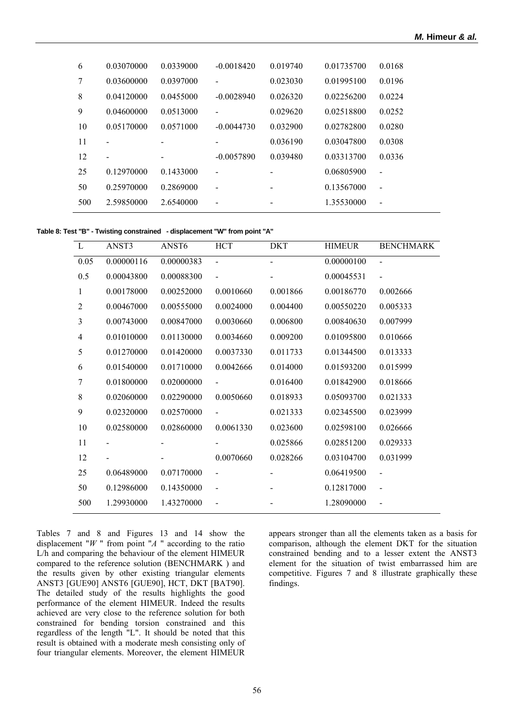| 6   | 0.03070000 | 0.0339000                | $-0.0018420$             | 0.019740                 | 0.01735700 | 0.0168                   |
|-----|------------|--------------------------|--------------------------|--------------------------|------------|--------------------------|
| 7   | 0.03600000 | 0.0397000                |                          | 0.023030                 | 0.01995100 | 0.0196                   |
| 8   | 0.04120000 | 0.0455000                | $-0.0028940$             | 0.026320                 | 0.02256200 | 0.0224                   |
| 9   | 0.04600000 | 0.0513000                |                          | 0.029620                 | 0.02518800 | 0.0252                   |
| 10  | 0.05170000 | 0.0571000                | $-0.0044730$             | 0.032900                 | 0.02782800 | 0.0280                   |
| 11  |            |                          |                          | 0.036190                 | 0.03047800 | 0.0308                   |
| 12  |            | $\overline{\phantom{a}}$ | $-0.0057890$             | 0.039480                 | 0.03313700 | 0.0336                   |
| 25  | 0.12970000 | 0.1433000                |                          |                          | 0.06805900 | $\overline{\phantom{0}}$ |
| 50  | 0.25970000 | 0.2869000                | $\overline{\phantom{a}}$ | $\overline{\phantom{a}}$ | 0.13567000 | $\overline{\phantom{0}}$ |
| 500 | 2.59850000 | 2.6540000                |                          |                          | 1.35530000 | $\blacksquare$           |

**Table 8: Test "B" - Twisting constrained - displacement "W" from point "A"** 

| L              | ANST3      | ANST <sub>6</sub> | <b>HCT</b>               | <b>DKT</b>     | <b>HIMEUR</b> | <b>BENCHMARK</b> |
|----------------|------------|-------------------|--------------------------|----------------|---------------|------------------|
| 0.05           | 0.00000116 | 0.00000383        | $\blacksquare$           | $\overline{a}$ | 0.00000100    | $\blacksquare$   |
| 0.5            | 0.00043800 | 0.00088300        | $\blacksquare$           |                | 0.00045531    | $\blacksquare$   |
| 1              | 0.00178000 | 0.00252000        | 0.0010660                | 0.001866       | 0.00186770    | 0.002666         |
| 2              | 0.00467000 | 0.00555000        | 0.0024000                | 0.004400       | 0.00550220    | 0.005333         |
| $\overline{3}$ | 0.00743000 | 0.00847000        | 0.0030660                | 0.006800       | 0.00840630    | 0.007999         |
| $\overline{4}$ | 0.01010000 | 0.01130000        | 0.0034660                | 0.009200       | 0.01095800    | 0.010666         |
| 5              | 0.01270000 | 0.01420000        | 0.0037330                | 0.011733       | 0.01344500    | 0.013333         |
| 6              | 0.01540000 | 0.01710000        | 0.0042666                | 0.014000       | 0.01593200    | 0.015999         |
| 7              | 0.01800000 | 0.02000000        |                          | 0.016400       | 0.01842900    | 0.018666         |
| 8              | 0.02060000 | 0.02290000        | 0.0050660                | 0.018933       | 0.05093700    | 0.021333         |
| 9              | 0.02320000 | 0.02570000        |                          | 0.021333       | 0.02345500    | 0.023999         |
| 10             | 0.02580000 | 0.02860000        | 0.0061330                | 0.023600       | 0.02598100    | 0.026666         |
| 11             |            |                   |                          | 0.025866       | 0.02851200    | 0.029333         |
| 12             |            |                   | 0.0070660                | 0.028266       | 0.03104700    | 0.031999         |
| 25             | 0.06489000 | 0.07170000        |                          |                | 0.06419500    |                  |
| 50             | 0.12986000 | 0.14350000        | $\overline{\phantom{a}}$ |                | 0.12817000    |                  |
| 500            | 1.29930000 | 1.43270000        |                          |                | 1.28090000    |                  |

Tables 7 and 8 and Figures 13 and 14 show the displacement "*W* " from point "*A* " according to the ratio L/h and comparing the behaviour of the element HIMEUR compared to the reference solution (BENCHMARK ) and the results given by other existing triangular elements ANST3 [GUE90] ANST6 [GUE90], HCT, DKT [BAT90]. The detailed study of the results highlights the good performance of the element HIMEUR. Indeed the results achieved are very close to the reference solution for both constrained for bending torsion constrained and this regardless of the length "L". It should be noted that this result is obtained with a moderate mesh consisting only of four triangular elements. Moreover, the element HIMEUR appears stronger than all the elements taken as a basis for comparison, although the element DKT for the situation constrained bending and to a lesser extent the ANST3 element for the situation of twist embarrassed him are competitive. Figures 7 and 8 illustrate graphically these findings.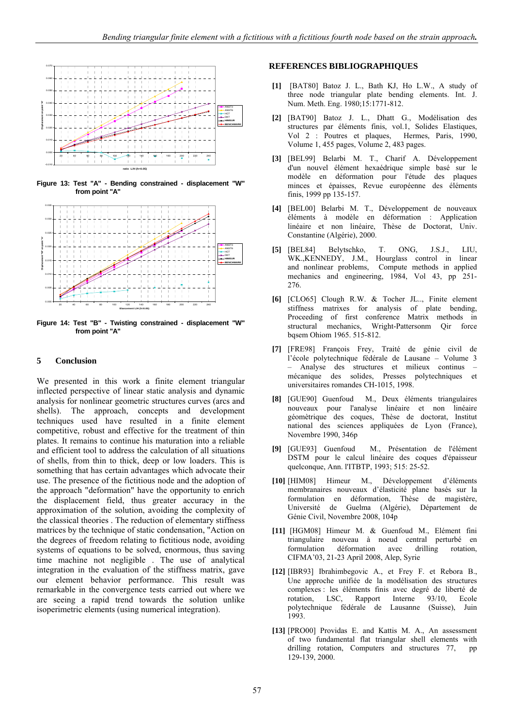

**Figure 13: Test "A" - Bending constrained - displacement "W" from point "A"** 



**Figure 14: Test "B" - Twisting constrained - displacement "W" from point "A"** 

## **5 Conclusion**

We presented in this work a finite element triangular inflected perspective of linear static analysis and dynamic analysis for nonlinear geometric structures curves (arcs and shells). The approach, concepts and development techniques used have resulted in a finite element competitive, robust and effective for the treatment of thin plates. It remains to continue his maturation into a reliable and efficient tool to address the calculation of all situations of shells, from thin to thick, deep or low loaders. This is something that has certain advantages which advocate their use. The presence of the fictitious node and the adoption of the approach "deformation" have the opportunity to enrich the displacement field, thus greater accuracy in the approximation of the solution, avoiding the complexity of the classical theories . The reduction of elementary stiffness matrices by the technique of static condensation, "Action on the degrees of freedom relating to fictitious node, avoiding systems of equations to be solved, enormous, thus saving time machine not negligible . The use of analytical integration in the evaluation of the stiffness matrix, gave our element behavior performance. This result was remarkable in the convergence tests carried out where we are seeing a rapid trend towards the solution unlike isoperimetric elements (using numerical integration).

## **REFERENCES BIBLIOGRAPHIQUES**

- **[1]** [BAT80] Batoz J. L., Bath KJ, Ho L.W., A study of three node triangular plate bending elements. Int. J. Num. Meth. Eng. 1980;15:1771-812.
- **[2]** [BAT90] Batoz J. L., Dhatt G., Modélisation des structures par éléments finis, vol.1, Solides Elastiques, Vol 2 : Poutres et plaques, Hermes, Paris, 1990, Volume 1, 455 pages, Volume 2, 483 pages.
- **[3]** [BEL99] Belarbi M. T., Charif A. Développement d'un nouvel élément hexaédrique simple basé sur le modèle en déformation pour l'étude des plaques minces et épaisses, Revue européenne des éléments finis, 1999 pp 135-157.
- **[4]** [BEL00] Belarbi M. T., Développement de nouveaux éléments à modèle en déformation : Application linéaire et non linéaire, Thèse de Doctorat, Univ. Constantine (Algérie), 2000.
- **[5]** [BEL84] Belytschko, T. ONG, J.S.J., LIU, WK.,KENNEDY, J.M., Hourglass control in linear and nonlinear problems, Compute methods in applied mechanics and engineering, 1984, Vol 43, pp 251- 276.
- **[6]** [CLO65] Clough R.W. & Tocher JL.., Finite element stiffness matrixes for analysis of plate bending, Proceeding of first conference Matrix methods in structural mechanics, Wright-Pattersonm Qir force bqsem Ohiom 1965. 515-812.
- **[7]** [FRE98] François Frey, Traité de génie civil de l'école polytechnique fédérale de Lausane – Volume 3 – Analyse des structures et milieux continus – mécanique des solides, Presses polytechniques et universitaires romandes CH-1015, 1998.
- **[8]** [GUE90] Guenfoud M., Deux éléments triangulaires nouveaux pour l'analyse linéaire et non linéaire géomètrique des coques, Thèse de doctorat, Institut national des sciences appliquées de Lyon (France), Novembre 1990, 346p
- **[9]** [GUE93] Guenfoud M., Présentation de l'élément DSTM pour le calcul linéaire des coques d'épaisseur quelconque, Ann. l'ITBTP, 1993; 515: 25-52.
- **[10]** [HIM08] Himeur M., Développement d'éléments membranaires nouveaux d'élasticité plane basés sur la formulation en déformation, Thèse de magistère, Université de Guelma (Algérie), Département de Génie Civil, Novembre 2008, 104p
- **[11]** [HGM08] Himeur M. & Guenfoud M., Elément fini triangulaire nouveau à noeud central perturbé en formulation déformation avec drilling rotation, CIFMA'03, 21-23 April 2008, Alep, Syrie
- **[12]** [IBR93] Ibrahimbegovic A., et Frey F. et Rebora B., Une approche unifiée de la modélisation des structures complexes : les éléments finis avec degré de liberté de rotation, LSC, Rapport Interne 93/10, Ecole polytechnique fédérale de Lausanne (Suisse), Juin 1993.
- **[13]** [PRO00] Providas E. and Kattis M. A., An assessment of two fundamental flat triangular shell elements with drilling rotation, Computers and structures 77, pp 129-139, 2000.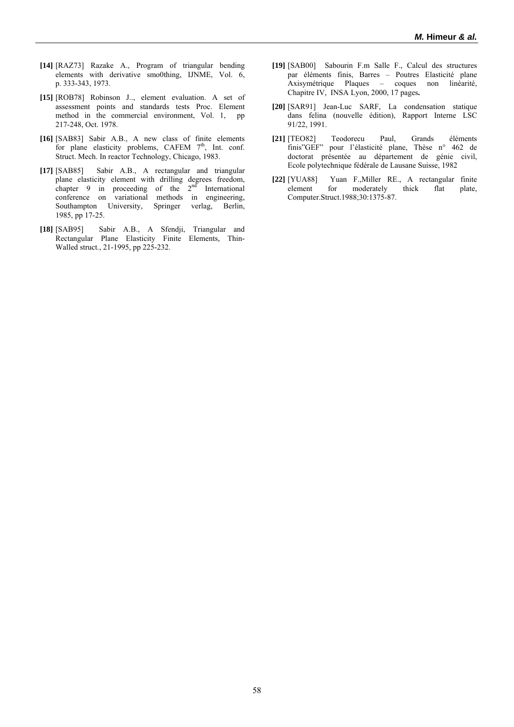- **[14]** [RAZ73] Razake A., Program of triangular bending elements with derivative smo0thing, IJNME, Vol. 6, p. 333-343, 1973.
- **[15]** [ROB78] Robinson J.., element evaluation. A set of assessment points and standards tests Proc. Element method in the commercial environment, Vol. 1, pp 217-248, Oct. 1978.
- **[16]** [SAB83] Sabir A.B., A new class of finite elements for plane elasticity problems, CAFEM  $7<sup>th</sup>$ , Int. conf. Struct. Mech. In reactor Technology, Chicago, 1983.
- **[17]** [SAB85] Sabir A.B., A rectangular and triangular plane elasticity element with drilling degrees freedom, chapter 9 in proceeding of the  $2<sup>nd</sup>$  International conference on variational methods in engineering, Southampton University, Springer verlag, Berlin, 1985, pp 17-25.
- **[18]** [SAB95] Sabir A.B., A Sfendji, Triangular and Rectangular Plane Elasticity Finite Elements, Thin-Walled struct., 21-1995, pp 225-232.
- **[19]** [SAB00] Sabourin F.m Salle F., Calcul des structures par éléments finis, Barres – Poutres Elasticité plane Axisymétrique Plaques – coques non linéarité, Chapitre IV, INSA Lyon, 2000, 17 pages**.**
- **[20]** [SAR91] Jean-Luc SARF, La condensation statique dans felina (nouvelle édition), Rapport Interne LSC 91/22, 1991.
- **[21]** [TEO82] Teodorecu Paul, Grands éléments finis"GEF" pour l'élasticité plane, Thèse n° 462 de doctorat présentée au département de génie civil, Ecole polytechnique fédérale de Lausane Suisse, 1982
- **[22]** [YUA88] Yuan F.,Miller RE., A rectangular finite element for moderately thick flat plate, Computer.Struct.1988;30:1375-87.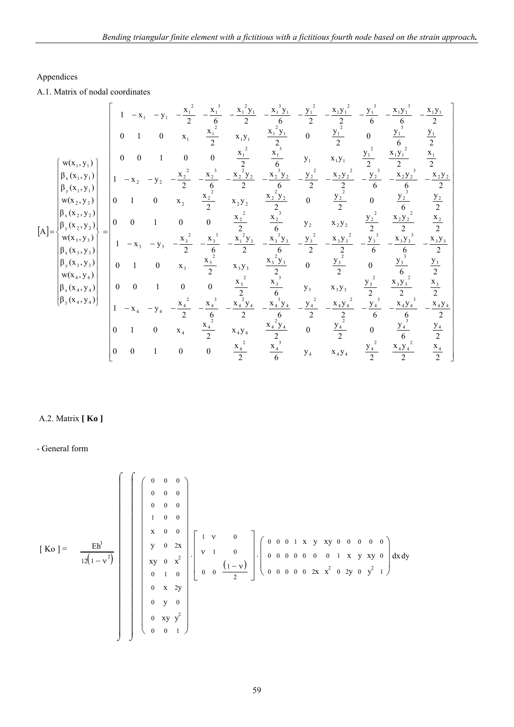# Appendices

A.1. Matrix of nodal coordinates

$$
\begin{bmatrix}\n1 & -x_1 & -y_1 & -\frac{x_1^2}{2} & -\frac{x_1^3}{6} & -\frac{x_1^2y_1}{2} & -\frac{x_1^3y_1}{6} & -\frac{y_1^2}{2} & -\frac{x_1y_1^2}{6} & -\frac{x_1y_1^3}{6} & -\frac{x_1y_1^3}{2} & -\frac{x_1y_1^2}{6} & -\frac{x_1y_1^2}{2} \\
0 & 1 & 0 & x_1 & \frac{x_1^2}{2} & x_1y_1 & \frac{x_1^2y_1}{2} & 0 & \frac{y_1^2}{2} & 0 & \frac{y_1^3}{2} & \frac{y_1}{2} \\
\beta_2(x_1, y_1) & 0 & 0 & 1 & 0 & 0 & \frac{x_1^2}{2} & \frac{x_1}{6} & y_1 & x_1y_1 & \frac{y_1^2}{2} & \frac{x_1y_1^2}{2} & \frac{x_1y_1^2}{2} \\
\beta_3(x_1, y_1) & 0 & 1 & 0 & 0 & \frac{x_2^2}{2} & -\frac{x_2^3y_2}{2} & -\frac{x_2^2y_2}{2} & -\frac{x_2^2y_2}{2} & -\frac{x_2y_2^2}{2} & -\frac{x_2^2y_2^3}{2} & -\frac{x_2y_2^3}{2} & \frac{x_2^2y_2^3}{2} & \frac{x_2^2y_2^2}{2} \\
w(x_2, y_2) & 0 & 1 & 0 & x_2 & \frac{x_2^2}{2} & x_2y_2 & \frac{x_2^2y_2}{2} & 0 & \frac{y_2^2}{2} & 0 & \frac{y_2^3}{6} & \frac{x_2^2}{2} \\
w(x_3, y_3) & 0 & 1 & 0 & 0 & \frac{x_2^2}{2} & \frac{x_2^3}{6} & y_2 & x_2y_2 & \frac{y_2^2}{2} & \frac{x_2y_2^2}{2} & \frac{x_2y_2}{2} \\
\beta_3(x_3, y_3) & 0 & 1 & 0 & x_3 & \frac{x_3}{2} & x_3y_3 & \frac{x_3^2}{2} & -\frac{x_3^3y_3}{2}
$$

# A.2. Matrix **[ Ko ]**

- General form

$$
\begin{bmatrix}\nKo\end{bmatrix} = \frac{Eh^3}{12(1-v^2)}\n\begin{bmatrix}\n\begin{bmatrix}\n0 & 0 & 0 & 0 \\
0 & 0 & 0 & 0 \\
1 & 0 & 0 & 0 \\
y & 0 & 2x \\
xy & 0 & x^2 \\
0 & 1 & 0 \\
0 & 1 & 0 \\
0 & y & 0 \\
0 & y & 0\n\end{bmatrix}\n\begin{bmatrix}\n1 & v & 0 \\
v & 1 & 0 \\
0 & 0 & 1 & 0 \\
0 & 0 & 0 & 0 \\
0 & 0 & 0 & 0\n\end{bmatrix}\n\begin{bmatrix}\n0 & 0 & 0 & 1 & x & y & xy & 0 & 0 & 0 & 0 \\
0 & 0 & 0 & 0 & 0 & 0 & 1 & x & y & xy & 0 \\
0 & 0 & 0 & 0 & 0 & 2x & x^2 & 0 & 2y & 0 & y^2 & 1\n\end{bmatrix} dxdy
$$